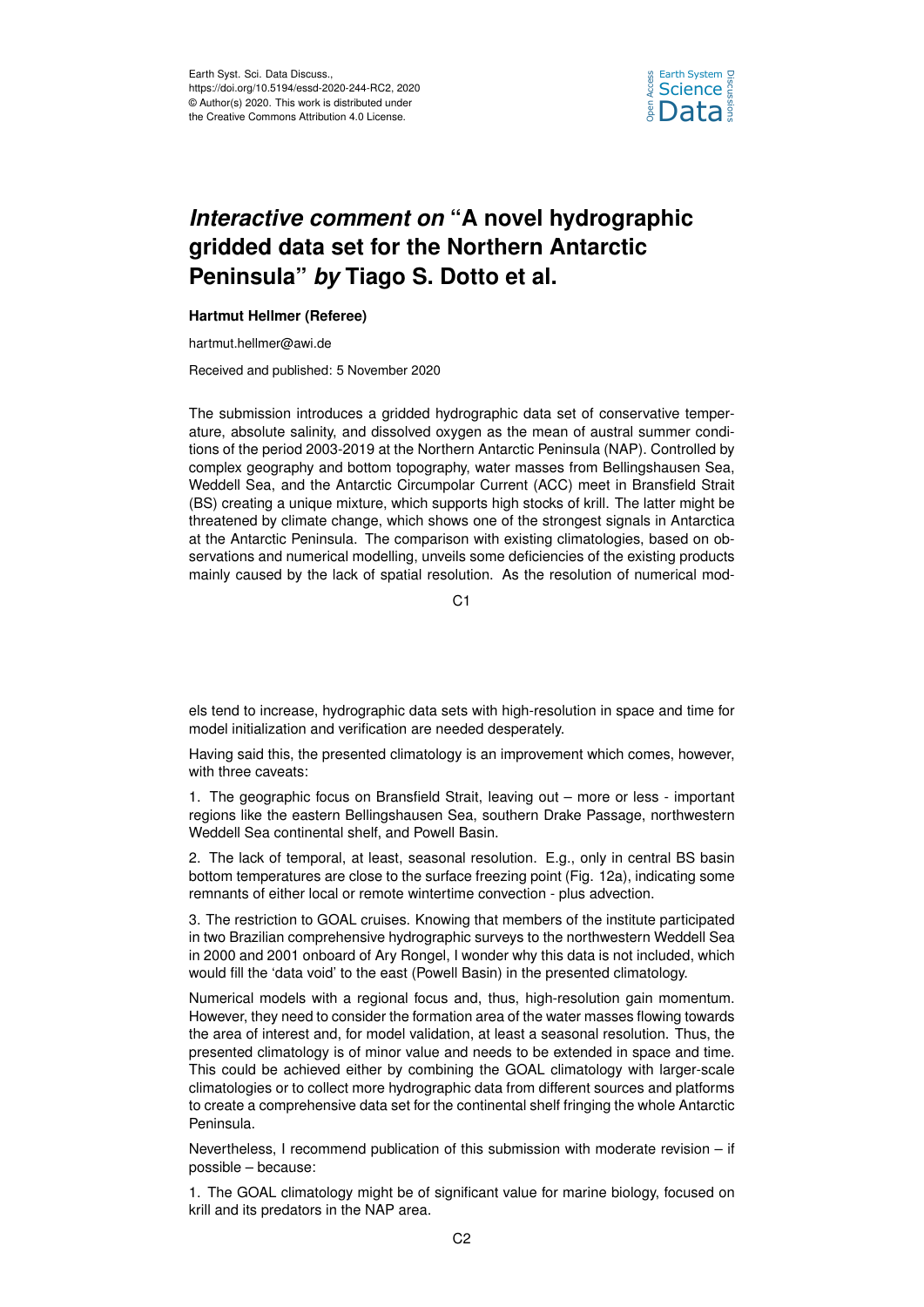

## *Interactive comment on* **"A novel hydrographic gridded data set for the Northern Antarctic Peninsula"** *by* **Tiago S. Dotto et al.**

## **Hartmut Hellmer (Referee)**

hartmut.hellmer@awi.de

Received and published: 5 November 2020

The submission introduces a gridded hydrographic data set of conservative temperature, absolute salinity, and dissolved oxygen as the mean of austral summer conditions of the period 2003-2019 at the Northern Antarctic Peninsula (NAP). Controlled by complex geography and bottom topography, water masses from Bellingshausen Sea, Weddell Sea, and the Antarctic Circumpolar Current (ACC) meet in Bransfield Strait (BS) creating a unique mixture, which supports high stocks of krill. The latter might be threatened by climate change, which shows one of the strongest signals in Antarctica at the Antarctic Peninsula. The comparison with existing climatologies, based on observations and numerical modelling, unveils some deficiencies of the existing products mainly caused by the lack of spatial resolution. As the resolution of numerical mod-

C1

els tend to increase, hydrographic data sets with high-resolution in space and time for model initialization and verification are needed desperately.

Having said this, the presented climatology is an improvement which comes, however, with three caveats:

1. The geographic focus on Bransfield Strait, leaving out – more or less - important regions like the eastern Bellingshausen Sea, southern Drake Passage, northwestern Weddell Sea continental shelf, and Powell Basin.

2. The lack of temporal, at least, seasonal resolution. E.g., only in central BS basin bottom temperatures are close to the surface freezing point (Fig. 12a), indicating some remnants of either local or remote wintertime convection - plus advection.

3. The restriction to GOAL cruises. Knowing that members of the institute participated in two Brazilian comprehensive hydrographic surveys to the northwestern Weddell Sea in 2000 and 2001 onboard of Ary Rongel, I wonder why this data is not included, which would fill the 'data void' to the east (Powell Basin) in the presented climatology.

Numerical models with a regional focus and, thus, high-resolution gain momentum. However, they need to consider the formation area of the water masses flowing towards the area of interest and, for model validation, at least a seasonal resolution. Thus, the presented climatology is of minor value and needs to be extended in space and time. This could be achieved either by combining the GOAL climatology with larger-scale climatologies or to collect more hydrographic data from different sources and platforms to create a comprehensive data set for the continental shelf fringing the whole Antarctic Peninsula.

Nevertheless, I recommend publication of this submission with moderate revision – if possible – because:

1. The GOAL climatology might be of significant value for marine biology, focused on krill and its predators in the NAP area.